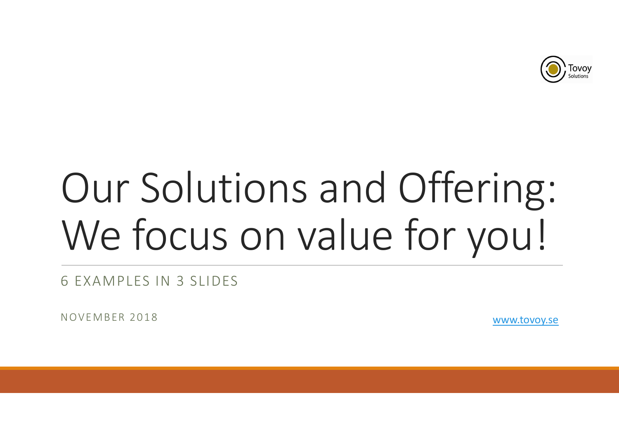

## Our Solutions and Offering: We focus on value for you! Our Solutions and Offering:<br>We focus on value for you!

6 EXAMPLES IN 3 SLIDES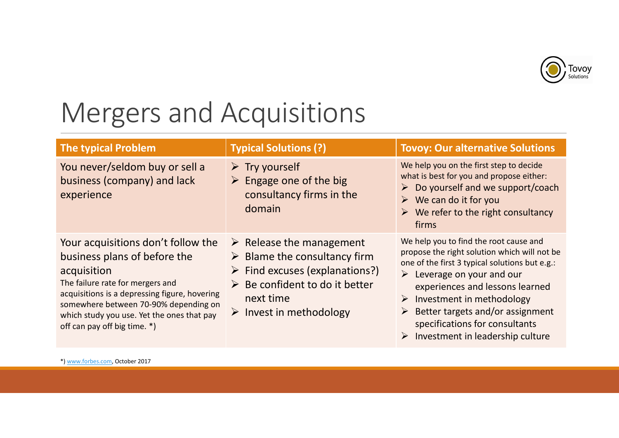

## Mergers and Acquisitions

| <b>Mergers and Acquisitions</b>                                                                                                                                                                                                                                                               |                                                                                                                                                                                                                                |                                                                                                                                                                                                                                                                                                                                                                      |  |  |
|-----------------------------------------------------------------------------------------------------------------------------------------------------------------------------------------------------------------------------------------------------------------------------------------------|--------------------------------------------------------------------------------------------------------------------------------------------------------------------------------------------------------------------------------|----------------------------------------------------------------------------------------------------------------------------------------------------------------------------------------------------------------------------------------------------------------------------------------------------------------------------------------------------------------------|--|--|
| <b>The typical Problem</b>                                                                                                                                                                                                                                                                    | <b>Typical Solutions (?)</b>                                                                                                                                                                                                   | <b>Tovoy: Our alternative Solutions</b>                                                                                                                                                                                                                                                                                                                              |  |  |
| You never/seldom buy or sell a<br>business (company) and lack<br>experience                                                                                                                                                                                                                   | $\triangleright$ Try yourself<br>$\triangleright$ Engage one of the big<br>consultancy firms in the<br>domain                                                                                                                  | We help you on the first step to decide<br>what is best for you and propose either:<br>Do yourself and we support/coach<br>We can do it for you<br>$\blacktriangleright$<br>We refer to the right consultancy<br>firms                                                                                                                                               |  |  |
| Your acquisitions don't follow the<br>business plans of before the<br>acquisition<br>The failure rate for mergers and<br>acquisitions is a depressing figure, hovering<br>somewhere between 70-90% depending on<br>which study you use. Yet the ones that pay<br>off can pay off big time. *) | $\triangleright$ Release the management<br>$\triangleright$ Blame the consultancy firm<br>$\triangleright$ Find excuses (explanations?)<br>Be confident to do it better<br>next time<br>$\triangleright$ Invest in methodology | We help you to find the root cause and<br>propose the right solution which will not be<br>one of the first 3 typical solutions but e.g.:<br>Leverage on your and our<br>experiences and lessons learned<br>Investment in methodology<br>➤<br>Better targets and/or assignment<br>specifications for consultants<br>$\triangleright$ Investment in leadership culture |  |  |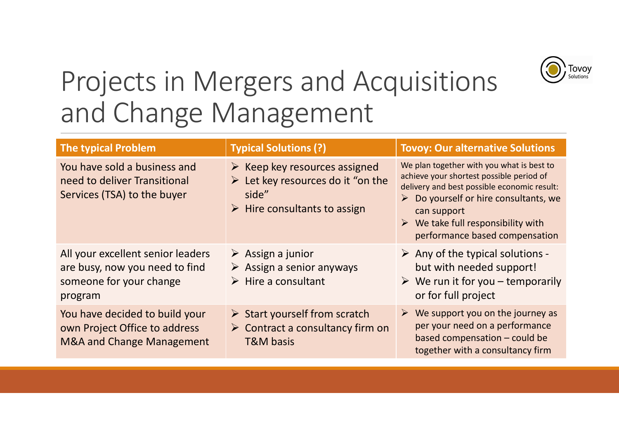

## Projects in Mergers and Acquisitions and Change Management

| Tovoy<br>Projects in Mergers and Acquisitions<br>and Change Management                                    |                                                                                                                                                          |                                                                                                                                                                                                                                                                                                    |  |  |  |
|-----------------------------------------------------------------------------------------------------------|----------------------------------------------------------------------------------------------------------------------------------------------------------|----------------------------------------------------------------------------------------------------------------------------------------------------------------------------------------------------------------------------------------------------------------------------------------------------|--|--|--|
| <b>The typical Problem</b>                                                                                | <b>Typical Solutions (?)</b>                                                                                                                             | <b>Tovoy: Our alternative Solutions</b>                                                                                                                                                                                                                                                            |  |  |  |
| You have sold a business and<br>need to deliver Transitional<br>Services (TSA) to the buyer               | $\triangleright$ Keep key resources assigned<br>$\triangleright$ Let key resources do it "on the<br>side"<br>$\triangleright$ Hire consultants to assign | We plan together with you what is best to<br>achieve your shortest possible period of<br>delivery and best possible economic result:<br>$\triangleright$ Do yourself or hire consultants, we<br>can support<br>$\triangleright$ We take full responsibility with<br>performance based compensation |  |  |  |
| All your excellent senior leaders<br>are busy, now you need to find<br>someone for your change<br>program | $\triangleright$ Assign a junior<br>$\triangleright$ Assign a senior anyways<br>$\triangleright$ Hire a consultant                                       | $\triangleright$ Any of the typical solutions -<br>but with needed support!<br>$\triangleright$ We run it for you – temporarily<br>or for full project                                                                                                                                             |  |  |  |
| You have decided to build your<br>own Project Office to address<br><b>M&amp;A and Change Management</b>   | $\triangleright$ Start yourself from scratch<br>$\triangleright$ Contract a consultancy firm on<br><b>T&amp;M basis</b>                                  | We support you on the journey as<br>per your need on a performance<br>based compensation - could be<br>together with a consultancy firm                                                                                                                                                            |  |  |  |
|                                                                                                           |                                                                                                                                                          |                                                                                                                                                                                                                                                                                                    |  |  |  |